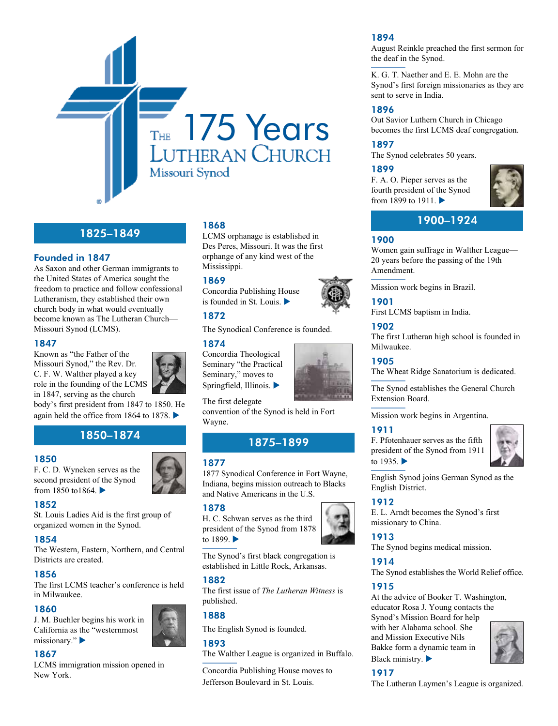

# 1825–1849

# Founded in 1847

As Saxon and other German immigrants to the United States of America sought the freedom to practice and follow confessional Lutheranism, they established their own church body in what would eventually become known as The Lutheran Church— Missouri Synod (LCMS).

#### 1847

Known as "the Father of the Missouri Synod," the Rev. Dr. C. F. W. Walther played a key role in the founding of the LCMS in 1847, serving as the church



body's first president from 1847 to 1850. He again held the office from 1864 to 1878.  $\blacktriangleright$ 

# 1850–1874 1875–1899

#### 1850

F. C. D. Wyneken serves as the second president of the Synod from 1850 to1864. $\blacktriangleright$ 

# 1852

St. Louis Ladies Aid is the first group of organized women in the Synod.

# 1854

The Western, Eastern, Northern, and Central Districts are created.

#### 1856

The first LCMS teacher's conference is held in Milwaukee.

#### 1860

J. M. Buehler begins his work in California as the "westernmost missionary." $\blacktriangleright$ 

#### 1867

LCMS immigration mission opened in New York.

# 1868

LCMS orphanage is established in Des Peres, Missouri. It was the first orphange of any kind west of the Mississippi.

#### 1869

Concordia Publishing House is founded in St. Louis.  $\blacktriangleright$ 

# 1872

The Synodical Conference is founded.

#### 1874

Concordia Theological Seminary "the Practical Seminary," moves to Springfield, Illinois.  $\blacktriangleright$ 

The first delegate convention of the Synod is held in Fort Wayne.

#### 1877

1877 Synodical Conference in Fort Wayne, Indiana, begins mission outreach to Blacks and Native Americans in the U.S.

#### 1878

H. C. Schwan serves as the third president of the Synod from 1878 to  $1899.$ 

The Synod's first black congregation is established in Little Rock, Arkansas.

#### 1882

The first issue of *The Lutheran Witness* is published.

#### 1888

The English Synod is founded.

#### 1893

The Walther League is organized in Buffalo.

Concordia Publishing House moves to Jefferson Boulevard in St. Louis.

#### 1894

August Reinkle preached the first sermon for the deaf in the Synod.

K. G. T. Naether and E. E. Mohn are the Synod's first foreign missionaries as they are sent to serve in India.

#### 1896

Out Savior Luthern Church in Chicago becomes the first LCMS deaf congregation.

# 1897

The Synod celebrates 50 years.

## 1899

F. A. O. Pieper serves as the fourth president of the Synod from 1899 to 1911.  $\blacktriangleright$ 



# 1900–1924

## 1900

Women gain suffrage in Walther League— 20 years before the passing of the 19th Amendment.

Mission work begins in Brazil.



#### 1902

The first Lutheran high school is founded in Milwaukee.

#### 1905

The Wheat Ridge Sanatorium is dedicated.

The Synod establishes the General Church Extension Board.

Mission work begins in Argentina.

#### 1911

F. Pfotenhauer serves as the fifth president of the Synod from 1911 to  $1935.$ 



English Synod joins German Synod as the English District.

# 1912

E. L. Arndt becomes the Synod's first missionary to China.

# 1913

The Synod begins medical mission.

#### 1914

The Synod establishes the World Relief office.

# 1915

At the advice of Booker T. Washington, educator Rosa J. Young contacts the Synod's Mission Board for help with her Alabama school. She and Mission Executive Nils Bakke form a dynamic team in Black ministry.  $\blacktriangleright$ 



# 1917

 $\frac{1}{2}$  for the Life of the Worlds of the Worlds of the Worlds of the Worlds of the Worlds of the Worlds of the Worlds of the Worlds of the Worlds of the Worlds of the Worlds of the Worlds of the Worlds of the Worlds of The Lutheran Laymen's League is organized.